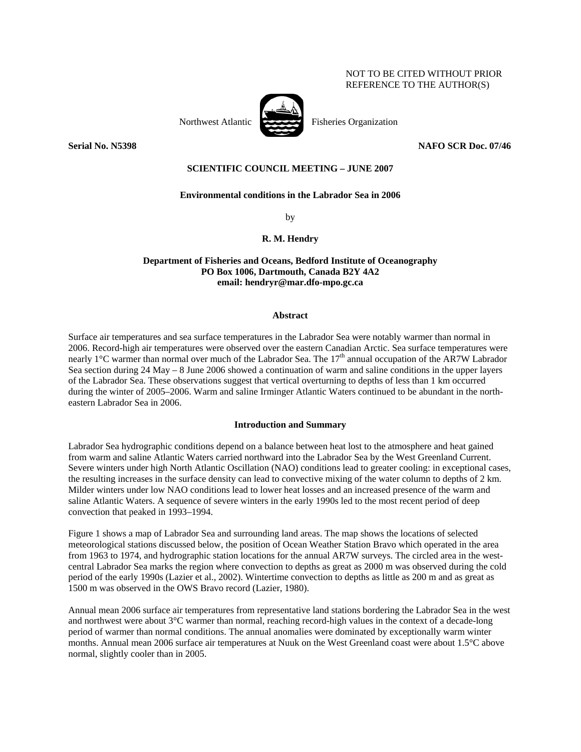# NOT TO BE CITED WITHOUT PRIOR REFERENCE TO THE AUTHOR(S)

Northwest Atlantic Fisheries Organization

# **Serial No. N5398 NAFO SCR Doc. 07/46**

# **SCIENTIFIC COUNCIL MEETING – JUNE 2007**

## **Environmental conditions in the Labrador Sea in 2006**

by

## **R. M. Hendry**

# **Department of Fisheries and Oceans, Bedford Institute of Oceanography PO Box 1006, Dartmouth, Canada B2Y 4A2 email: hendryr@mar.dfo-mpo.gc.ca**

#### **Abstract**

Surface air temperatures and sea surface temperatures in the Labrador Sea were notably warmer than normal in 2006. Record-high air temperatures were observed over the eastern Canadian Arctic. Sea surface temperatures were nearly 1<sup>°</sup>C warmer than normal over much of the Labrador Sea. The  $17<sup>th</sup>$  annual occupation of the AR7W Labrador Sea section during 24 May – 8 June 2006 showed a continuation of warm and saline conditions in the upper layers of the Labrador Sea. These observations suggest that vertical overturning to depths of less than 1 km occurred during the winter of 2005–2006. Warm and saline Irminger Atlantic Waters continued to be abundant in the northeastern Labrador Sea in 2006.

#### **Introduction and Summary**

Labrador Sea hydrographic conditions depend on a balance between heat lost to the atmosphere and heat gained from warm and saline Atlantic Waters carried northward into the Labrador Sea by the West Greenland Current. Severe winters under high North Atlantic Oscillation (NAO) conditions lead to greater cooling: in exceptional cases, the resulting increases in the surface density can lead to convective mixing of the water column to depths of 2 km. Milder winters under low NAO conditions lead to lower heat losses and an increased presence of the warm and saline Atlantic Waters. A sequence of severe winters in the early 1990s led to the most recent period of deep convection that peaked in 1993–1994.

Figure 1 shows a map of Labrador Sea and surrounding land areas. The map shows the locations of selected meteorological stations discussed below, the position of Ocean Weather Station Bravo which operated in the area from 1963 to 1974, and hydrographic station locations for the annual AR7W surveys. The circled area in the westcentral Labrador Sea marks the region where convection to depths as great as 2000 m was observed during the cold period of the early 1990s (Lazier et al., 2002). Wintertime convection to depths as little as 200 m and as great as 1500 m was observed in the OWS Bravo record (Lazier, 1980).

Annual mean 2006 surface air temperatures from representative land stations bordering the Labrador Sea in the west and northwest were about 3°C warmer than normal, reaching record-high values in the context of a decade-long period of warmer than normal conditions. The annual anomalies were dominated by exceptionally warm winter months. Annual mean 2006 surface air temperatures at Nuuk on the West Greenland coast were about 1.5°C above normal, slightly cooler than in 2005.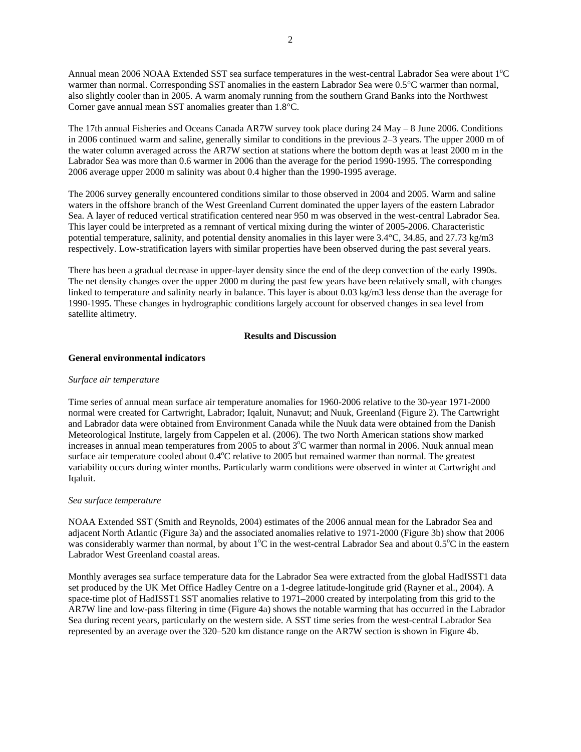Annual mean 2006 NOAA Extended SST sea surface temperatures in the west-central Labrador Sea were about 1°C warmer than normal. Corresponding SST anomalies in the eastern Labrador Sea were 0.5°C warmer than normal, also slightly cooler than in 2005. A warm anomaly running from the southern Grand Banks into the Northwest Corner gave annual mean SST anomalies greater than 1.8°C.

The 17th annual Fisheries and Oceans Canada AR7W survey took place during 24 May – 8 June 2006. Conditions in 2006 continued warm and saline, generally similar to conditions in the previous 2–3 years. The upper 2000 m of the water column averaged across the AR7W section at stations where the bottom depth was at least 2000 m in the Labrador Sea was more than 0.6 warmer in 2006 than the average for the period 1990-1995. The corresponding 2006 average upper 2000 m salinity was about 0.4 higher than the 1990-1995 average.

The 2006 survey generally encountered conditions similar to those observed in 2004 and 2005. Warm and saline waters in the offshore branch of the West Greenland Current dominated the upper layers of the eastern Labrador Sea. A layer of reduced vertical stratification centered near 950 m was observed in the west-central Labrador Sea. This layer could be interpreted as a remnant of vertical mixing during the winter of 2005-2006. Characteristic potential temperature, salinity, and potential density anomalies in this layer were 3.4°C, 34.85, and 27.73 kg/m3 respectively. Low-stratification layers with similar properties have been observed during the past several years.

There has been a gradual decrease in upper-layer density since the end of the deep convection of the early 1990s. The net density changes over the upper 2000 m during the past few years have been relatively small, with changes linked to temperature and salinity nearly in balance. This layer is about 0.03 kg/m3 less dense than the average for 1990-1995. These changes in hydrographic conditions largely account for observed changes in sea level from satellite altimetry.

## **Results and Discussion**

# **General environmental indicators**

#### *Surface air temperature*

Time series of annual mean surface air temperature anomalies for 1960-2006 relative to the 30-year 1971-2000 normal were created for Cartwright, Labrador; Iqaluit, Nunavut; and Nuuk, Greenland (Figure 2). The Cartwright and Labrador data were obtained from Environment Canada while the Nuuk data were obtained from the Danish Meteorological Institute, largely from Cappelen et al. (2006). The two North American stations show marked increases in annual mean temperatures from 2005 to about 3°C warmer than normal in 2006. Nuuk annual mean surface air temperature cooled about 0.4°C relative to 2005 but remained warmer than normal. The greatest variability occurs during winter months. Particularly warm conditions were observed in winter at Cartwright and Iqaluit.

#### *Sea surface temperature*

NOAA Extended SST (Smith and Reynolds, 2004) estimates of the 2006 annual mean for the Labrador Sea and adjacent North Atlantic (Figure 3a) and the associated anomalies relative to 1971-2000 (Figure 3b) show that 2006 was considerably warmer than normal, by about 1°C in the west-central Labrador Sea and about 0.5°C in the eastern Labrador West Greenland coastal areas.

Monthly averages sea surface temperature data for the Labrador Sea were extracted from the global HadISST1 data set produced by the UK Met Office Hadley Centre on a 1-degree latitude-longitude grid (Rayner et al., 2004). A space-time plot of HadISST1 SST anomalies relative to 1971–2000 created by interpolating from this grid to the AR7W line and low-pass filtering in time (Figure 4a) shows the notable warming that has occurred in the Labrador Sea during recent years, particularly on the western side. A SST time series from the west-central Labrador Sea represented by an average over the 320–520 km distance range on the AR7W section is shown in Figure 4b.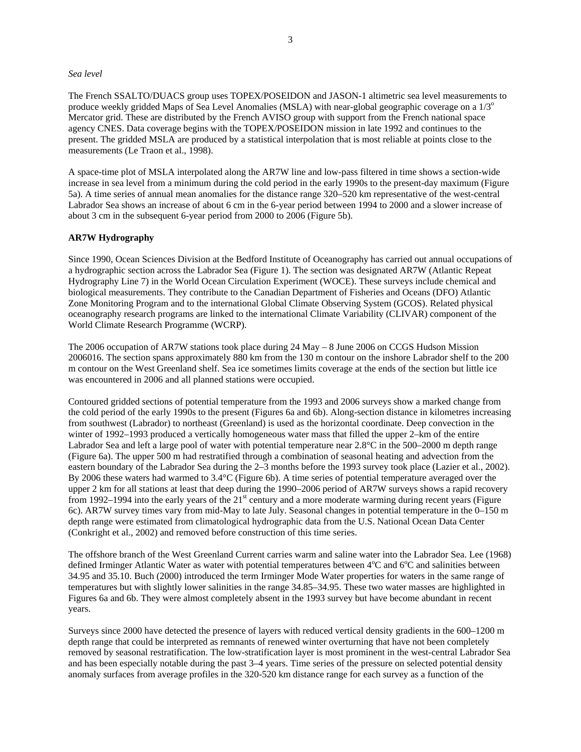## *Sea level*

The French SSALTO/DUACS group uses TOPEX/POSEIDON and JASON-1 altimetric sea level measurements to produce weekly gridded Maps of Sea Level Anomalies (MSLA) with near-global geographic coverage on a  $1/3^\circ$ Mercator grid. These are distributed by the French AVISO group with support from the French national space agency CNES. Data coverage begins with the TOPEX/POSEIDON mission in late 1992 and continues to the present. The gridded MSLA are produced by a statistical interpolation that is most reliable at points close to the measurements (Le Traon et al., 1998).

A space-time plot of MSLA interpolated along the AR7W line and low-pass filtered in time shows a section-wide increase in sea level from a minimum during the cold period in the early 1990s to the present-day maximum (Figure 5a). A time series of annual mean anomalies for the distance range 320–520 km representative of the west-central Labrador Sea shows an increase of about 6 cm in the 6-year period between 1994 to 2000 and a slower increase of about 3 cm in the subsequent 6-year period from 2000 to 2006 (Figure 5b).

## **AR7W Hydrography**

Since 1990, Ocean Sciences Division at the Bedford Institute of Oceanography has carried out annual occupations of a hydrographic section across the Labrador Sea (Figure 1). The section was designated AR7W (Atlantic Repeat Hydrography Line 7) in the World Ocean Circulation Experiment (WOCE). These surveys include chemical and biological measurements. They contribute to the Canadian Department of Fisheries and Oceans (DFO) Atlantic Zone Monitoring Program and to the international Global Climate Observing System (GCOS). Related physical oceanography research programs are linked to the international Climate Variability (CLIVAR) component of the World Climate Research Programme (WCRP).

The 2006 occupation of AR7W stations took place during 24 May – 8 June 2006 on CCGS Hudson Mission 2006016. The section spans approximately 880 km from the 130 m contour on the inshore Labrador shelf to the 200 m contour on the West Greenland shelf. Sea ice sometimes limits coverage at the ends of the section but little ice was encountered in 2006 and all planned stations were occupied.

Contoured gridded sections of potential temperature from the 1993 and 2006 surveys show a marked change from the cold period of the early 1990s to the present (Figures 6a and 6b). Along-section distance in kilometres increasing from southwest (Labrador) to northeast (Greenland) is used as the horizontal coordinate. Deep convection in the winter of 1992–1993 produced a vertically homogeneous water mass that filled the upper 2–km of the entire Labrador Sea and left a large pool of water with potential temperature near 2.8°C in the 500–2000 m depth range (Figure 6a). The upper 500 m had restratified through a combination of seasonal heating and advection from the eastern boundary of the Labrador Sea during the 2–3 months before the 1993 survey took place (Lazier et al., 2002). By 2006 these waters had warmed to 3.4°C (Figure 6b). A time series of potential temperature averaged over the upper 2 km for all stations at least that deep during the 1990–2006 period of AR7W surveys shows a rapid recovery from 1992–1994 into the early years of the  $21<sup>st</sup>$  century and a more moderate warming during recent years (Figure 6c). AR7W survey times vary from mid-May to late July. Seasonal changes in potential temperature in the 0–150 m depth range were estimated from climatological hydrographic data from the U.S. National Ocean Data Center (Conkright et al., 2002) and removed before construction of this time series.

The offshore branch of the West Greenland Current carries warm and saline water into the Labrador Sea. Lee (1968) defined Irminger Atlantic Water as water with potential temperatures between 4°C and 6°C and salinities between 34.95 and 35.10. Buch (2000) introduced the term Irminger Mode Water properties for waters in the same range of temperatures but with slightly lower salinities in the range 34.85–34.95. These two water masses are highlighted in Figures 6a and 6b. They were almost completely absent in the 1993 survey but have become abundant in recent years.

Surveys since 2000 have detected the presence of layers with reduced vertical density gradients in the 600–1200 m depth range that could be interpreted as remnants of renewed winter overturning that have not been completely removed by seasonal restratification. The low-stratification layer is most prominent in the west-central Labrador Sea and has been especially notable during the past 3–4 years. Time series of the pressure on selected potential density anomaly surfaces from average profiles in the 320-520 km distance range for each survey as a function of the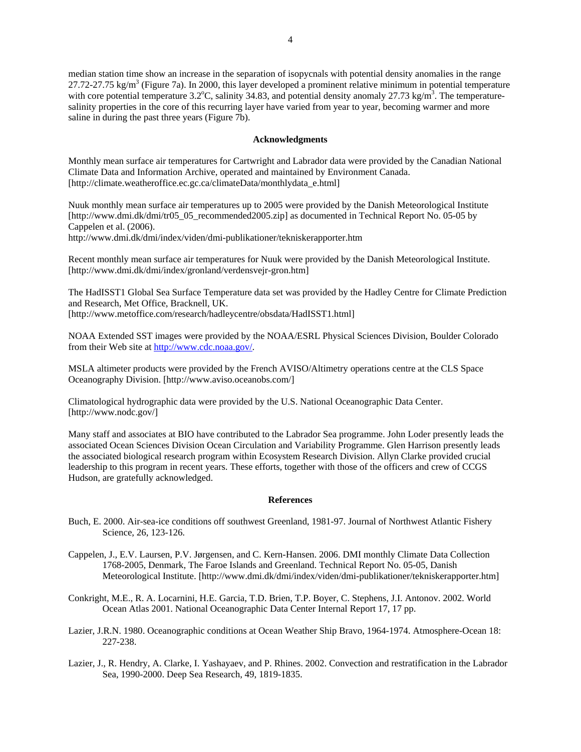median station time show an increase in the separation of isopycnals with potential density anomalies in the range  $27.72$ -27.75 kg/m<sup>3</sup> (Figure 7a). In 2000, this layer developed a prominent relative minimum in potential temperature with core potential temperature 3.2°C, salinity 34.83, and potential density anomaly 27.73 kg/m<sup>3</sup>. The temperaturesalinity properties in the core of this recurring layer have varied from year to year, becoming warmer and more saline in during the past three years (Figure 7b).

### **Acknowledgments**

Monthly mean surface air temperatures for Cartwright and Labrador data were provided by the Canadian National Climate Data and Information Archive, operated and maintained by Environment Canada. [http://climate.weatheroffice.ec.gc.ca/climateData/monthlydata\_e.html]

Nuuk monthly mean surface air temperatures up to 2005 were provided by the Danish Meteorological Institute [http://www.dmi.dk/dmi/tr05\_05\_recommended2005.zip] as documented in Technical Report No. 05-05 by Cappelen et al. (2006).

http://www.dmi.dk/dmi/index/viden/dmi-publikationer/tekniskerapporter.htm

Recent monthly mean surface air temperatures for Nuuk were provided by the Danish Meteorological Institute. [http://www.dmi.dk/dmi/index/gronland/verdensvejr-gron.htm]

The HadISST1 Global Sea Surface Temperature data set was provided by the Hadley Centre for Climate Prediction and Research, Met Office, Bracknell, UK.

[http://www.metoffice.com/research/hadleycentre/obsdata/HadISST1.html]

NOAA Extended SST images were provided by the NOAA/ESRL Physical Sciences Division, Boulder Colorado from their Web site at http://www.cdc.noaa.gov/.

MSLA altimeter products were provided by the French AVISO/Altimetry operations centre at the CLS Space Oceanography Division. [http://www.aviso.oceanobs.com/]

Climatological hydrographic data were provided by the U.S. National Oceanographic Data Center. [http://www.nodc.gov/]

Many staff and associates at BIO have contributed to the Labrador Sea programme. John Loder presently leads the associated Ocean Sciences Division Ocean Circulation and Variability Programme. Glen Harrison presently leads the associated biological research program within Ecosystem Research Division. Allyn Clarke provided crucial leadership to this program in recent years. These efforts, together with those of the officers and crew of CCGS Hudson, are gratefully acknowledged.

#### **References**

- Buch, E. 2000. Air-sea-ice conditions off southwest Greenland, 1981-97. Journal of Northwest Atlantic Fishery Science, 26, 123-126.
- Cappelen, J., E.V. Laursen, P.V. Jørgensen, and C. Kern-Hansen. 2006. DMI monthly Climate Data Collection 1768-2005, Denmark, The Faroe Islands and Greenland. Technical Report No. 05-05, Danish Meteorological Institute. [http://www.dmi.dk/dmi/index/viden/dmi-publikationer/tekniskerapporter.htm]
- Conkright, M.E., R. A. Locarnini, H.E. Garcia, T.D. Brien, T.P. Boyer, C. Stephens, J.I. Antonov. 2002. World Ocean Atlas 2001. National Oceanographic Data Center Internal Report 17, 17 pp.
- Lazier, J.R.N. 1980. Oceanographic conditions at Ocean Weather Ship Bravo, 1964-1974. Atmosphere-Ocean 18: 227-238.
- Lazier, J., R. Hendry, A. Clarke, I. Yashayaev, and P. Rhines. 2002. Convection and restratification in the Labrador Sea, 1990-2000. Deep Sea Research, 49, 1819-1835.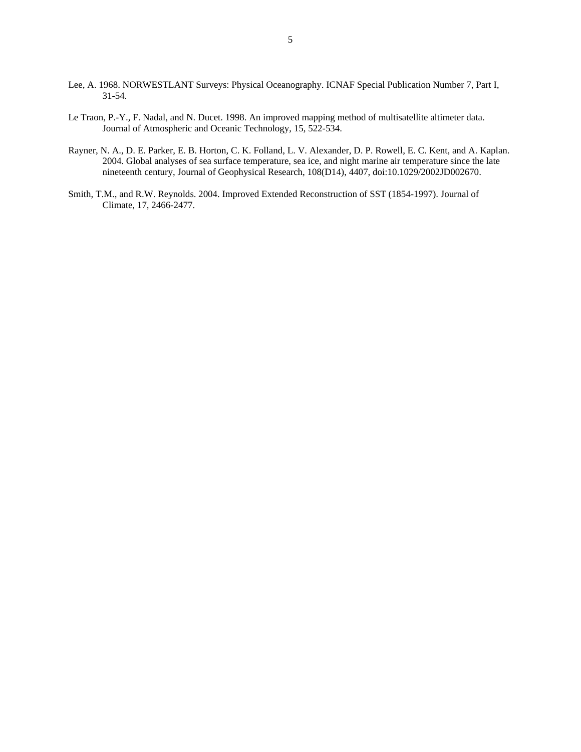- Lee, A. 1968. NORWESTLANT Surveys: Physical Oceanography. ICNAF Special Publication Number 7, Part I, 31-54.
- Le Traon, P.-Y., F. Nadal, and N. Ducet. 1998. An improved mapping method of multisatellite altimeter data. Journal of Atmospheric and Oceanic Technology, 15, 522-534.
- Rayner, N. A., D. E. Parker, E. B. Horton, C. K. Folland, L. V. Alexander, D. P. Rowell, E. C. Kent, and A. Kaplan. 2004. Global analyses of sea surface temperature, sea ice, and night marine air temperature since the late nineteenth century, Journal of Geophysical Research, 108(D14), 4407, doi:10.1029/2002JD002670.
- Smith, T.M., and R.W. Reynolds. 2004. Improved Extended Reconstruction of SST (1854-1997). Journal of Climate, 17, 2466-2477.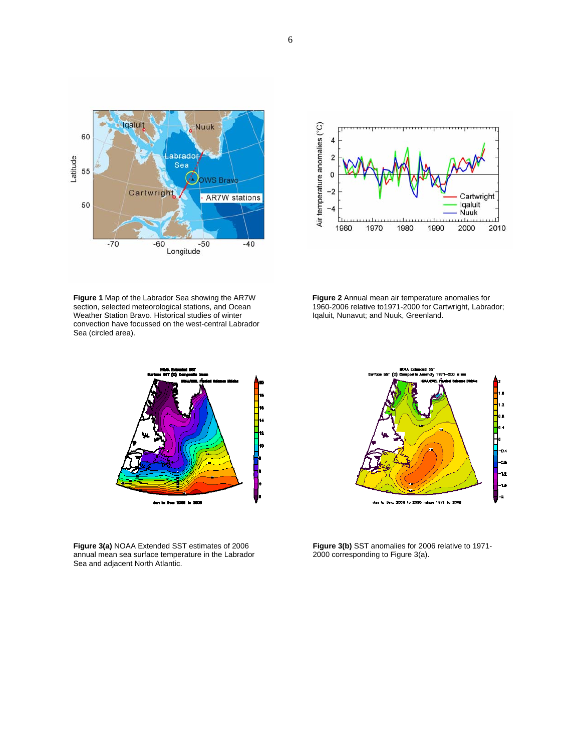





 **Figure 2** Annual mean air temperature anomalies for 1960-2006 relative to1971-2000 for Cartwright, Labrador; Iqaluit, Nunavut; and Nuuk, Greenland.



**Figure 3(a)** NOAA Extended SST estimates of 2006 annual mean sea surface temperature in the Labrador Sea and adjacent North Atlantic.



**Figure 3(b)** SST anomalies for 2006 relative to 1971- 2000 corresponding to Figure 3(a).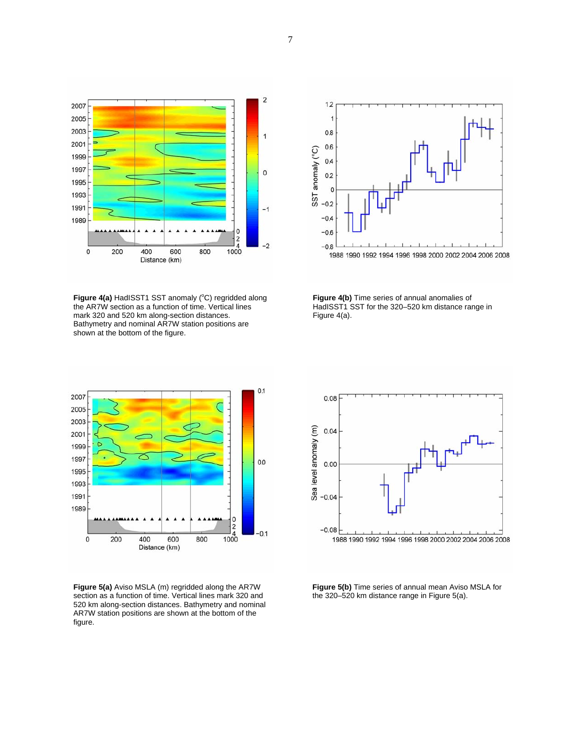

Figure 4(a) HadISST1 SST anomaly (°C) regridded along the AR7W section as a function of time. Vertical lines mark 320 and 520 km along-section distances. Bathymetry and nominal AR7W station positions are shown at the bottom of the figure.



**Figure 4(b)** Time series of annual anomalies of HadISST1 SST for the 320-520 km distance range in Figure 4(a).



**Figure 5(a)** Aviso MSLA (m) regridded along the AR7W section as a function of time. Vertical lines mark 320 and 520 km along-section distances. Bathymetry and nominal AR7W station positions are shown at the bottom of the figure.



**Figure 5(b)** Time series of annual mean Aviso MSLA for the 320–520 km distance range in Figure 5(a).